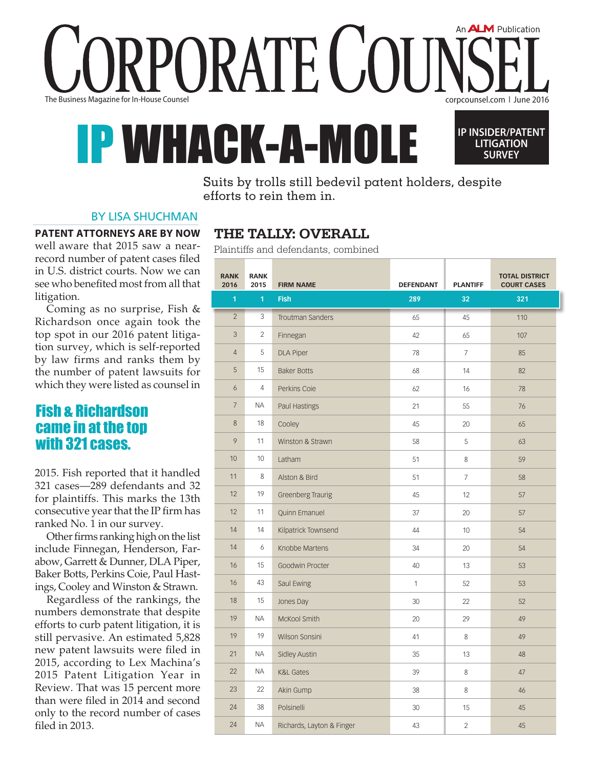PORATE CO The Business Magazine for In-House Counsel corpcounsel.com ❘ June 2016

# HACK-A-M



An **ALM** Publication

Suits by trolls still bedevil patent holders, despite efforts to rein them in.

### By lisa shuchman

#### **Patent attorneys are by now**

well aware that 2015 saw a nearrecord number of patent cases filed in U.S. district courts. Now we can see who benefited most from all that litigation.

Coming as no surprise, Fish & Richardson once again took the top spot in our 2016 patent litigation survey, which is self-reported by law firms and ranks them by the number of patent lawsuits for which they were listed as counsel in

# Fish & Richardson came in at the top with 321 cases.

2015. Fish reported that it handled 321 cases—289 defendants and 32 for plaintiffs. This marks the 13th consecutive year that the IP firm has ranked No. 1 in our survey.

Other firms ranking high on the list include Finnegan, Henderson, Farabow, Garrett & Dunner, DLA Piper, Baker Botts, Perkins Coie, Paul Hastings, Cooley and Winston & Strawn.

Regardless of the rankings, the numbers demonstrate that despite efforts to curb patent litigation, it is still pervasive. An estimated 5,828 new patent lawsuits were filed in 2015, according to Lex Machina's 2015 Patent Litigation Year in Review. That was 15 percent more than were filed in 2014 and second only to the record number of cases filed in 2013.

# **The tally: Overall**

Plaintiffs and defendants, combined

| <b>RANK</b><br>2016 | <b>RANK</b><br>2015 | <b>FIRM NAME</b>          | <b>DEFENDANT</b> | <b>PLANTIFF</b> | <b>TOTAL DISTRICT</b><br><b>COURT CASES</b> |
|---------------------|---------------------|---------------------------|------------------|-----------------|---------------------------------------------|
| 1                   | $\mathbf{1}$        | <b>Fish</b>               | 289              | 32              | 321                                         |
| $\overline{2}$      | 3                   | Troutman Sanders          | 65               | 45              | 110                                         |
| 3                   | $\overline{2}$      | Finnegan                  | 42               | 65              | 107                                         |
| $\overline{4}$      | 5                   | <b>DLA Piper</b>          | 78               | $\overline{7}$  | 85                                          |
| 5                   | 15                  | <b>Baker Botts</b>        | 68               | 14              | 82                                          |
| 6                   | $\overline{4}$      | Perkins Coie              | 62               | 16              | 78                                          |
| $\overline{7}$      | NA                  | Paul Hastings             | 21               | 55              | 76                                          |
| 8                   | 18                  | Cooley                    | 45               | 20              | 65                                          |
| 9                   | 11                  | Winston & Strawn          | 58               | 5               | 63                                          |
| 10                  | 10                  | Latham                    | 51               | 8               | 59                                          |
| 11                  | 8                   | Alston & Bird             | 51               | $\overline{7}$  | 58                                          |
| 12                  | 19                  | <b>Greenberg Traurig</b>  | 45               | 12              | 57                                          |
| 12                  | 11                  | <b>Quinn Emanuel</b>      | 37               | 20              | 57                                          |
| 14                  | 14                  | Kilpatrick Townsend       | 44               | 10              | 54                                          |
| 14                  | 6                   | Knobbe Martens            | 34               | 20              | 54                                          |
| 16                  | 15                  | Goodwin Procter           | 40               | 13              | 53                                          |
| 16                  | 43                  | Saul Ewing                | $\mathbf{1}$     | 52              | 53                                          |
| 18                  | 15                  | Jones Day                 | 30               | 22              | 52                                          |
| 19                  | NА                  | McKool Smith              | 20               | 29              | 49                                          |
| 19                  | 19                  | Wilson Sonsini            | 41               | 8               | 49                                          |
| 21                  | ΝA                  | <b>Sidley Austin</b>      | 35               | 13              | 48                                          |
| 22                  | <b>ΝΑ</b>           | <b>K&amp;L Gates</b>      | 39               | 8               | 47                                          |
| 23                  | 22                  | Akin Gump                 | 38               | 8               | 46                                          |
| 24                  | 38                  | Polsinelli                | 30               | 15              | 45                                          |
| 24                  | <b>ΝΑ</b>           | Richards, Layton & Finger | 43               | $\sqrt{2}$      | 45                                          |